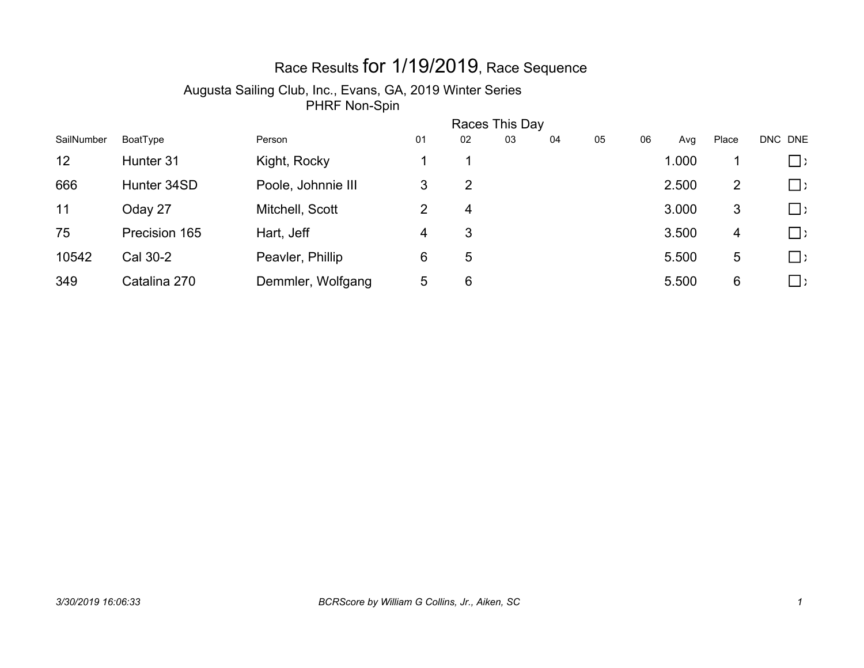# Race Results for 1/19/2019, Race Sequence

| SailNumber | Races This Day |                    |    |    |    |    |    |    |       |       |             |  |
|------------|----------------|--------------------|----|----|----|----|----|----|-------|-------|-------------|--|
|            | BoatType       | Person             | 01 | 02 | 03 | 04 | 05 | 06 | Avg   | Place | DNC DNE     |  |
| 12         | Hunter 31      | Kight, Rocky       |    |    |    |    |    |    | 1.000 |       | $\Box$ )    |  |
| 666        | Hunter 34SD    | Poole, Johnnie III | 3  | 2  |    |    |    |    | 2.500 | 2     | $\square$ ) |  |
| 11         | Oday 27        | Mitchell, Scott    | 2  | 4  |    |    |    |    | 3.000 | 3     | $\square$ ) |  |
| 75         | Precision 165  | Hart, Jeff         | 4  | 3  |    |    |    |    | 3.500 | 4     | $\Box$ )    |  |
| 10542      | Cal 30-2       | Peavler, Phillip   | 6  | 5  |    |    |    |    | 5.500 | 5     | $\Box$ )    |  |
| 349        | Catalina 270   | Demmler, Wolfgang  | 5  | 6  |    |    |    |    | 5.500 | 6     | $\Box$ )    |  |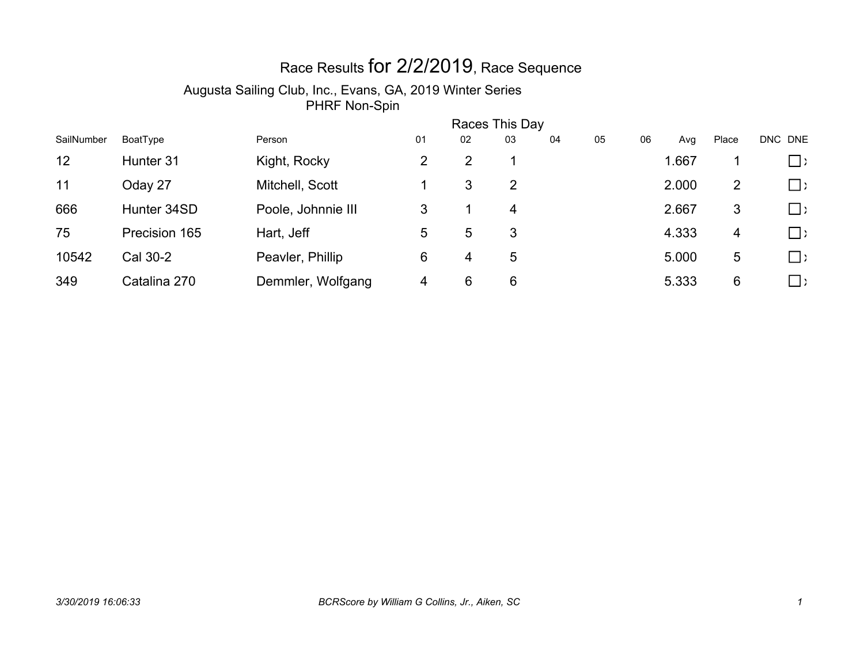# Race Results for 2/2/2019, Race Sequence

| SailNumber | Races This Day |                    |    |    |    |    |    |    |       |                |             |  |
|------------|----------------|--------------------|----|----|----|----|----|----|-------|----------------|-------------|--|
|            | BoatType       | Person             | 01 | 02 | 03 | 04 | 05 | 06 | Avg   | Place          | DNC DNE     |  |
| 12         | Hunter 31      | Kight, Rocky       | 2  | 2  |    |    |    |    | 1.667 |                | $\Box$      |  |
| 11         | Oday 27        | Mitchell, Scott    |    | 3  | 2  |    |    |    | 2.000 | $\overline{2}$ | $\Box$ )    |  |
| 666        | Hunter 34SD    | Poole, Johnnie III | 3  |    | 4  |    |    |    | 2.667 | 3              | $\square$   |  |
| 75         | Precision 165  | Hart, Jeff         | 5  | 5  | 3  |    |    |    | 4.333 | 4              | $\square$ ) |  |
| 10542      | Cal 30-2       | Peavler, Phillip   | 6  | 4  | 5  |    |    |    | 5.000 | 5              | $\Box$ )    |  |
| 349        | Catalina 270   | Demmler, Wolfgang  | 4  | 6  | 6  |    |    |    | 5.333 | 6              | $\Box$      |  |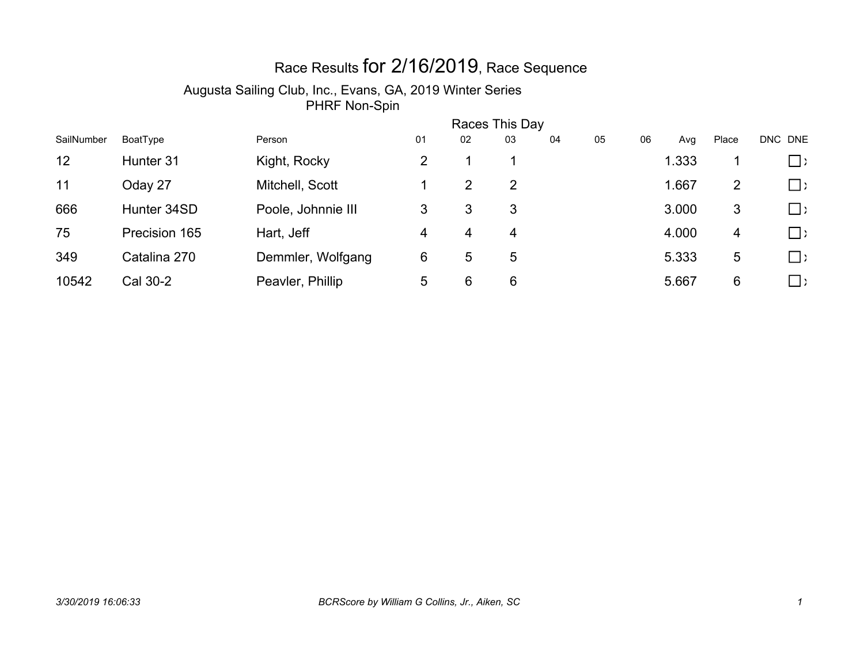# Race Results for 2/16/2019, Race Sequence

| SailNumber | Races This Day |                    |    |                |    |    |    |    |       |       |             |  |
|------------|----------------|--------------------|----|----------------|----|----|----|----|-------|-------|-------------|--|
|            | BoatType       | Person             | 01 | 02             | 03 | 04 | 05 | 06 | Avg   | Place | DNC DNE     |  |
| 12         | Hunter 31      | Kight, Rocky       | 2  |                |    |    |    |    | 1.333 |       | $\Box$ )    |  |
| 11         | Oday 27        | Mitchell, Scott    |    | $\overline{2}$ | 2  |    |    |    | 1.667 | 2     | $\square$ ) |  |
| 666        | Hunter 34SD    | Poole, Johnnie III | 3  | 3              | 3  |    |    |    | 3.000 | 3     | $\square$ ) |  |
| 75         | Precision 165  | Hart, Jeff         | 4  | 4              | 4  |    |    |    | 4.000 | 4     | $\Box$      |  |
| 349        | Catalina 270   | Demmler, Wolfgang  | 6  | 5              | 5  |    |    |    | 5.333 | 5     | $\Box$ )    |  |
| 10542      | Cal 30-2       | Peavler, Phillip   | 5  | 6              | 6  |    |    |    | 5.667 | 6     | $\Box$ )    |  |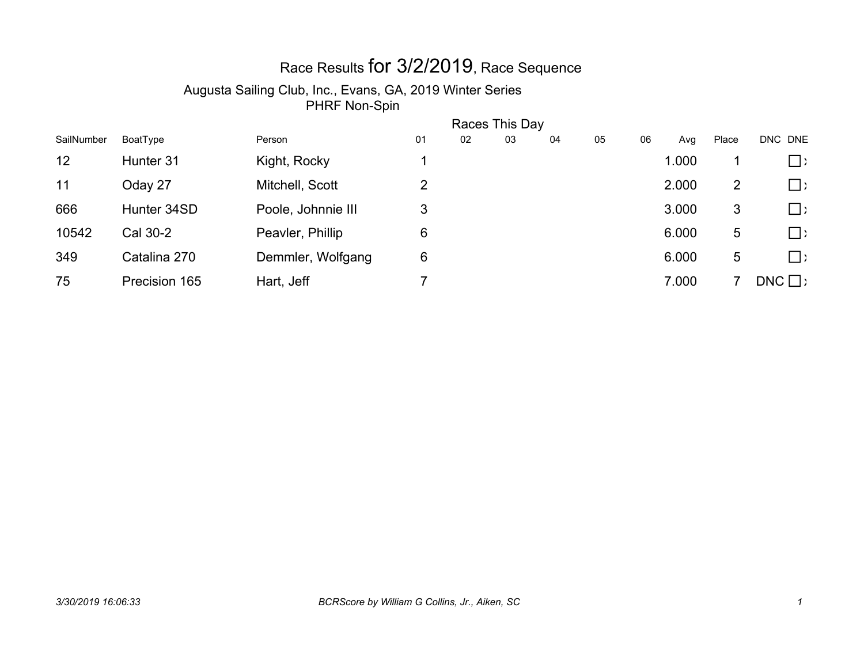# Race Results for 3/2/2019, Race Sequence

| SailNumber | Races This Day |                    |    |    |    |    |    |    |       |                |               |  |
|------------|----------------|--------------------|----|----|----|----|----|----|-------|----------------|---------------|--|
|            | BoatType       | Person             | 01 | 02 | 03 | 04 | 05 | 06 | Avg   | Place          | DNC DNE       |  |
| 12         | Hunter 31      | Kight, Rocky       |    |    |    |    |    |    | 1.000 |                | $\Box$ )      |  |
| 11         | Oday 27        | Mitchell, Scott    | 2  |    |    |    |    |    | 2.000 | $\overline{2}$ | $\square$ )   |  |
| 666        | Hunter 34SD    | Poole, Johnnie III | 3  |    |    |    |    |    | 3.000 | 3              | $\square$ )   |  |
| 10542      | Cal 30-2       | Peavler, Phillip   | 6  |    |    |    |    |    | 6.000 | 5              | $\Box$ )      |  |
| 349        | Catalina 270   | Demmler, Wolfgang  | 6  |    |    |    |    |    | 6.000 | 5              | $\Box$ )      |  |
| 75         | Precision 165  | Hart, Jeff         |    |    |    |    |    |    | 7.000 |                | $DNC \square$ |  |